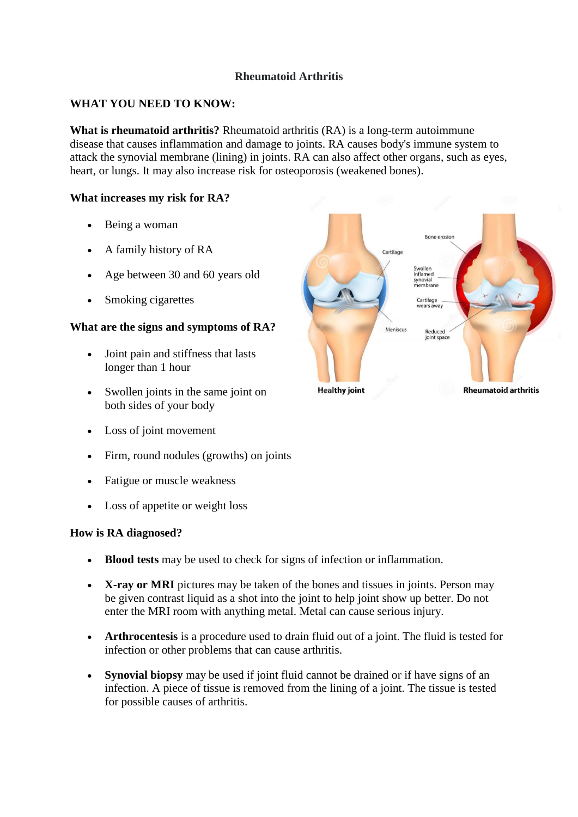# **Rheumatoid Arthritis**

# **WHAT YOU NEED TO KNOW:**

**What is rheumatoid arthritis?** Rheumatoid arthritis (RA) is a long-term autoimmune disease that causes inflammation and damage to joints. RA causes body's immune system to attack the synovial membrane (lining) in joints. RA can also affect other organs, such as eyes, heart, or lungs. It may also increase risk for osteoporosis (weakened bones).

## **What increases my risk for RA?**

- Being a woman
- A family history of RA
- Age between 30 and 60 years old
- Smoking cigarettes

# **What are the signs and symptoms of RA?**

- Joint pain and stiffness that lasts longer than 1 hour
- Swollen joints in the same joint on both sides of your body
- Loss of joint movement
- Firm, round nodules (growths) on joints
- Fatigue or muscle weakness
- Loss of appetite or weight loss

#### **How is RA diagnosed?**

- **Blood tests** may be used to check for signs of infection or inflammation.
- **X-ray or MRI** pictures may be taken of the bones and tissues in joints. Person may be given contrast liquid as a shot into the joint to help joint show up better. Do not enter the MRI room with anything metal. Metal can cause serious injury.
- **Arthrocentesis** is a procedure used to drain fluid out of a joint. The fluid is tested for infection or other problems that can cause arthritis.
- **Synovial biopsy** may be used if joint fluid cannot be drained or if have signs of an infection. A piece of tissue is removed from the lining of a joint. The tissue is tested for possible causes of arthritis.